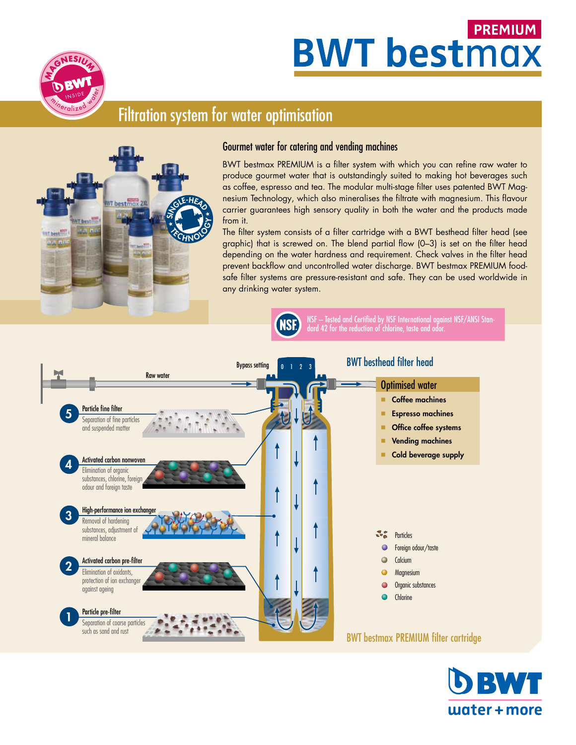# **PREMIUM BWT bestmax**



# Filtration system for water optimisation



#### Gourmet water for catering and vending machines

BWT bestmax PREMIUM is a filter system with which you can refine raw water to produce gourmet water that is outstandingly suited to making hot beverages such as coffee, espresso and tea. The modular multi-stage filter uses patented BWT Mag-<br>nesium Technology, which also mineralises the filtrate with magnesium. This flavour nesium Technology, which also mineralises the filtrate with magnesium. This flavour carrier guarantees high sensory quality in both the water and the products made<br>from it. from it.

The filter system consists of a filter cartridge with a BWT besthead filter head (see graphic) that is screwed on. The blend partial flow (0–3) is set on the filter head depending on the water hardness and requirement. Check valves in the filter head prevent backflow and uncontrolled water discharge. BWT bestmax PREMIUM foodsafe filter systems are pressure-resistant and safe. They can be used worldwide in any drinking water system.



NSF – Tested and Certified by NSF International against NSF/ANSI Standard 42 for the reduction of chlorine, taste and odor.



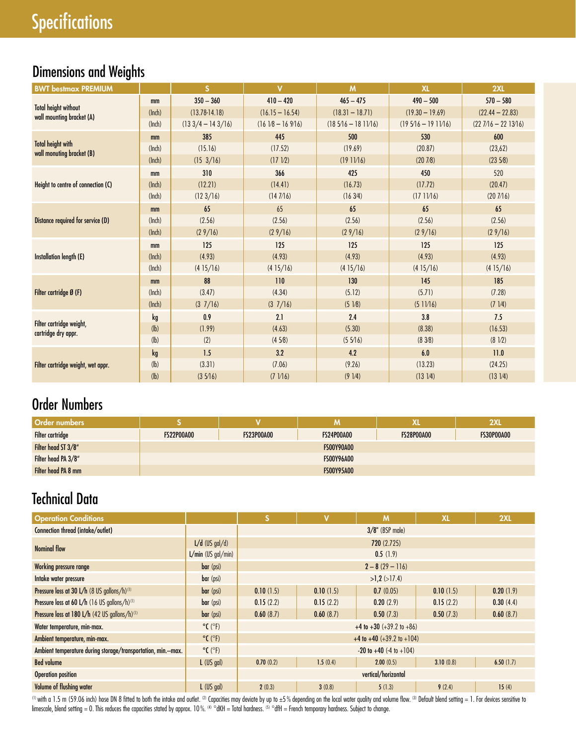# Dimensions and Weights

| <b>BWT bestmax PREMIUM</b>                               |        | <sub>S</sub>        | $\overline{\mathsf{v}}$ | M                   | <b>XL</b>            | 2XL                  |
|----------------------------------------------------------|--------|---------------------|-------------------------|---------------------|----------------------|----------------------|
|                                                          | mm     | $350 - 360$         | $410 - 420$             | $465 - 475$         | $490 - 500$          | $570 - 580$          |
| <b>Total height without</b><br>wall mounting bracket (A) | (Inch) | $(13.78 - 14.18)$   | $(16.15 - 16.54)$       | $(18.31 - 18.71)$   | $(19.30 - 19.69)$    | $(22.44 - 22.83)$    |
|                                                          | (lnch) | $(133/4 - 143/16)$  | $(1618 - 16916)$        | $(185/16 - 181)/16$ | $(195/16 - 191)/16)$ | $(227/16 - 2213/16)$ |
|                                                          | mm     | 385                 | 445                     | 500                 | 530                  | 600                  |
| <b>Total height with</b><br>wall monuting bracket (B)    | (Inch) | (15.16)             | (17.52)                 | (19.69)             | (20.87)              | (23,62)              |
|                                                          | (lnch) | $(15 \frac{3}{16})$ | (17 1/2)                | (1911/16)           | (207/8)              | (2358)               |
|                                                          | mm     | 310                 | 366                     | 425                 | 450                  | 520                  |
| Height to centre of connection (C)                       | (lnch) | (12.21)             | (14.41)                 | (16.73)             | (17.72)              | (20.47)              |
|                                                          | (lnch) | (123/16)            | (147/16)                | (163/4)             | (1711/16)            | (207/16)             |
|                                                          | mm     | 65                  | 65                      | 65                  | 65                   | 65                   |
| Distance required for service (D)                        | (lnch) | (2.56)              | (2.56)                  | (2.56)              | (2.56)               | (2.56)               |
|                                                          | (lnch) | (29/16)             | (29/16)                 | (29/16)             | (29/16)              | (29/16)              |
|                                                          | mm     | 125                 | 125                     | 125                 | 125                  | 125                  |
| Installation length (E)                                  | (lnch) | (4.93)              | (4.93)                  | (4.93)              | (4.93)               | (4.93)               |
|                                                          | (lnch) | (415/16)            | (415/16)                | (415/16)            | (415/16)             | (415/16)             |
|                                                          | mm     | 88                  | 110                     | 130                 | 145                  | 185                  |
| Filter cartridge Ø (F)                                   | (Inch) | (3.47)              | (4.34)                  | (5.12)              | (5.71)               | (7.28)               |
|                                                          | (lnch) | $(3 \t1/16)$        | $(3 \t1/16)$            | (51/8)              | (511/16)             | $(7 \frac{1}{4})$    |
|                                                          | kg     | 0.9                 | 2.1                     | 2.4                 | 3.8                  | 7.5                  |
| Filter cartridge weight,<br>cartridge dry appr.          | (lb)   | (1.99)              | (4.63)                  | (5.30)              | (8.38)               | (16.53)              |
|                                                          | (h)    | (2)                 | (458)                   | (55/16)             | (838)                | $(8\ 1/2)$           |
|                                                          | kg     | 1.5                 | 3.2                     | 4.2                 | 6.0                  | 11.0                 |
| Filter cartridge weight, wet appr.                       | (h)    | (3.31)              | (7.06)                  | (9.26)              | (13.23)              | (24.25)              |
|                                                          | (h)    | (35/16)             | $(7 \ 1/16)$            | (91/4)              | $(13 \frac{1}{4})$   | (131/4)              |

# Order Numbers

| <b>Order numbers</b> |                   |                   | M                 | Χl                | 2XL               |
|----------------------|-------------------|-------------------|-------------------|-------------------|-------------------|
| Filter cartridge     | <b>FS22P00A00</b> | <b>FS23P00A00</b> | <b>FS24P00A00</b> | <b>FS28P00A00</b> | <b>FS30P00A00</b> |
| Filter head ST 3/8"  |                   |                   | <b>FS00Y90A00</b> |                   |                   |
| Filter head PA 3/8"  |                   |                   | <b>FS00Y96A00</b> |                   |                   |
| Filter head PA 8 mm  |                   |                   | <b>FS00Y95A00</b> |                   |                   |

# Technical Data

| <b>Operation Conditions</b>                                  |                              | ls.                                | v           | M                                   | <b>XL</b> | 2XL       |  |  |  |
|--------------------------------------------------------------|------------------------------|------------------------------------|-------------|-------------------------------------|-----------|-----------|--|--|--|
| Connection thread (intake/outlet)                            |                              |                                    |             | $3/8$ " (BSP male)                  |           |           |  |  |  |
| <b>Nominal flow</b>                                          | $L/d$ (US gal/d)             |                                    | 720 (2.725) |                                     |           |           |  |  |  |
|                                                              | $L/min$ (US gal/min)         |                                    |             | 0.5(1.9)                            |           |           |  |  |  |
| Working pressure range                                       | bar (psi)                    |                                    |             | $2 - 8(29 - 116)$                   |           |           |  |  |  |
| Intake water pressure                                        | bar (psi)                    | $>1,2$ ( $>17.4$ )                 |             |                                     |           |           |  |  |  |
| Pressure loss at 30 L/h (8 US gallons/h) <sup>(1)</sup>      | bar (psi)                    | 0.10(1.5)                          | 0.10(1.5)   | 0.7(0.05)                           | 0.10(1.5) | 0.20(1.9) |  |  |  |
| Pressure loss at 60 L/h (16 US gallons/h) <sup>(1)</sup>     | bar (psi)                    | 0.15(2.2)                          | 0.15(2.2)   | 0.20(2.9)                           | 0.15(2.2) | 0.30(4.4) |  |  |  |
| Pressure loss at 180 L/h (42 US gallons/h)(1)                | bar (psi)                    | 0.60(8.7)                          | 0.60(8.7)   | 0.50(7.3)                           | 0.50(7.3) | 0.60(8.7) |  |  |  |
| Water temperature, min-max.                                  | $^{\circ}$ C ( $^{\circ}$ F) | $+4$ to $+30$ ( $+39.2$ to $+86$ ) |             |                                     |           |           |  |  |  |
| Ambient temperature, min-max.                                | $^{\circ}$ C ( $^{\circ}$ F) |                                    |             | $+4$ to $+40$ ( $+39.2$ to $+104$ ) |           |           |  |  |  |
| Ambient temperature during storage/transportation, min.-max. | $^{\circ}$ C ( $^{\circ}$ F) | $-20$ to $+40$ (-4 to $+104$ )     |             |                                     |           |           |  |  |  |
| <b>Bed volume</b>                                            | $L$ (US gal)                 | 0.70(0.2)                          | 1.5(0.4)    | 2.00(0.5)                           | 3.10(0.8) | 6.50(1.7) |  |  |  |
| <b>Operation position</b>                                    |                              | vertical/horizontal                |             |                                     |           |           |  |  |  |
| Volume of flushing water                                     | $L$ (US gal)                 | 2(0.3)                             | 3(0.8)      | 5(1.3)                              | 9(2.4)    | 15(4)     |  |  |  |

<sup>(1)</sup> with a 1.5 m (59.06 inch) hose DN 8 fitted to both the intake and outlet. © Capacities may deviate by up to ±5% depending on the local water quality and volume flow. ۞ Default blend setting = 1. For devices sensitiv limescale, blend setting = 0. This reduces the capacities stated by approx. 10%. (4) °dKH = Total hardness. (5) °dfH = French temporary hardness. Subject to change.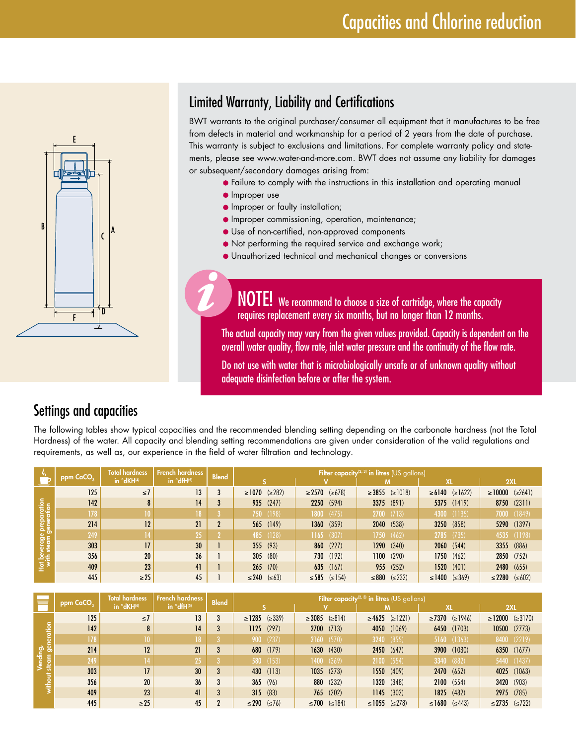

# Limited Warranty, Liability and Certifications

BWT warrants to the original purchaser/consumer all equipment that it manufactures to be free from defects in material and workmanship for a period of 2 years from the date of purchase. This warranty is subject to exclusions and limitations. For complete warranty policy and statements, please see www.water-and-more.com. BWT does not assume any liability for damages or subsequent/secondary damages arising from:

**•** Failure to comply with the instructions in this installation and operating manual

- **Improper use**
- **Improper or faulty installation;**
- **Improper commissioning, operation, maintenance;**
- Use of non-certified, non-approved components
- Not performing the required service and exchange work;
- Unauthorized technical and mechanical changes or conversions

NOTE! We recommend to choose a size of cartridge, where the capacity requires replacement every six months, but no longer than 12 months.

The actual capacity may vary from the given values provided. Capacity is dependent on the overall water quality, flow rate, inlet water pressure and the continuity of the flow rate.

Do not use with water that is microbiologically unsafe or of unknown quality without adequate disinfection before or after the system.

### Settings and capacities

The following tables show typical capacities and the recommended blending setting depending on the carbonate hardness (not the Total Hardness) of the water. All capacity and blending setting recommendations are given under consideration of the valid regulations and requirements, as well as, our experience in the field of water filtration and technology.

|                     | ppm CaCO <sub>2</sub> | <b>Total hardness</b> | <b>French hardness</b> | <b>Blend</b> | Filter capacity <sup>(2, 3)</sup> in litres (US gallons) |                            |                            |                           |                           |  |
|---------------------|-----------------------|-----------------------|------------------------|--------------|----------------------------------------------------------|----------------------------|----------------------------|---------------------------|---------------------------|--|
|                     |                       | in °dKH(4)            | in $^{\circ}$ dfH(5)   |              |                                                          |                            |                            | XL                        | 2XL                       |  |
|                     | 125                   | $\leq$ 7              | 13                     | 3            | $\geq 1070$ ( $\geq 282$ )                               | $\geq 2570$ ( $\geq 678$ ) | $\geq$ 3855 ( $\geq$ 1018) | $\ge 6140$ ( $\ge 1622$ ) | $\geq 10000 \leq 2641$    |  |
|                     | 142                   |                       | 14                     |              | 935 (247)                                                | 2250 (594)                 | 3375 (891)                 | 5375 (1419)               | 8750 (2311)               |  |
| paration<br>eration | 178                   |                       | 18 <sup>°</sup>        |              | 750 (198)                                                | 1800 (475)                 | $2700$ (713)               | 4300 (1135)               | 7000 (1849)               |  |
|                     | 214                   | 12                    | 21                     | 2            | 565 (149)                                                | 1360(359)                  | 2040 (538)                 | 3250 (858)                | 5290 (1397)               |  |
| age pre<br>am gene  | 249                   |                       | 25                     |              | 485 (128)                                                | $1165$ (307)               | 1750(462)                  | $2785$ (735)              | 4535 (1198)               |  |
|                     | 303                   | 17                    | 30 <sup>°</sup>        |              | 355(93)                                                  | 860 (227)                  | 1290(340)                  | 2060(544)                 | 3355 (886)                |  |
|                     | 356                   | 20                    | 36                     |              | $305$ (80)                                               | 730 (192)                  | $1100$ $(290)$             | 1750(462)                 | 2850 (752)                |  |
| 傳                   | 409                   | 23                    | 41                     |              | $265$ (70)                                               | $635$ (167)                | 955 (252)                  | 1520(401)                 | 2480 (655)                |  |
|                     | 445                   | $\geq$ 25             | 45                     |              | $≤ 240$ (≤63)                                            | ≤585 (≤154)                | $\leq$ 232)<br>$\leq 880$  | $\leq$ 1400 ( $\leq$ 369) | $\leq$ 2280 ( $\leq$ 602) |  |

|         |           | Total hardness | French hardness | <b>Blend</b> | <b>Filter capacity</b> <sup>(2, 3)</sup> in litres (US gallons) |                            |                            |                            |                             |  |  |
|---------|-----------|----------------|-----------------|--------------|-----------------------------------------------------------------|----------------------------|----------------------------|----------------------------|-----------------------------|--|--|
|         | ppm CaCO, | in °dKH(4)     | in °dfH(5)      |              |                                                                 |                            |                            | <b>XL</b>                  | 2XL                         |  |  |
|         | 125       | $\leq 7$       | 13              | 3            | $\ge$ 1285 ( $\ge$ 339)                                         | $\geq 3085$ ( $\geq 814$ ) | $\geq 4625$ ( $\geq$ 1221) | $\geq$ 7370 ( $\geq$ 1946) | $\geq$ 12000 ( $\geq$ 3170) |  |  |
| eration | $142$     |                | 14              |              | $1125$ (297)                                                    | $2700$ $(713)$             | (1069)<br>4050             | 6450 (1703)                | $10500$ (2773)              |  |  |
|         | 178       |                | 18 <sup>2</sup> |              | 900(237)                                                        | 2160(570)                  | (855)<br>3240              | 5160 (1363)                | (2219)<br>8400              |  |  |
| ഊ       | 214       | 12             | 21              | 3            | 680 (179)                                                       | 1630(430)                  | 2450(647)                  | 3900 (1030)                | 6350 (1677)                 |  |  |
|         | 249       |                | 25              |              | 580 (153)                                                       | $1400$ $(369)$             | (554)<br>2100              | 3340 (882)                 | 5440 (1437)                 |  |  |
|         | 303       | 17             | 30 <sup>°</sup> | 3            | 430 (113)                                                       | $1035$ (273)               | 1550(409)                  | 2470 (652)                 | (1063)<br>4025              |  |  |
|         | 356       | 20             | 36              | 3            | 365(96)                                                         | 880 (232)                  | 1320 (348)                 | 2100(554)                  | 3420 (903)                  |  |  |
|         | 409       | 23             | 41              | 3            | 315(83)                                                         | 765 (202)                  | (302)<br>1145              | 1825 (482)                 | 2975 (785)                  |  |  |
|         | 445       | $\geq$ 25      | 45              |              | $≤ 290 (=76)$                                                   | ≤700 (≤184)                | ≤1055 (≤278)               | $\leq 1680 \leq 443$       | ≤2735 (≤722)                |  |  |